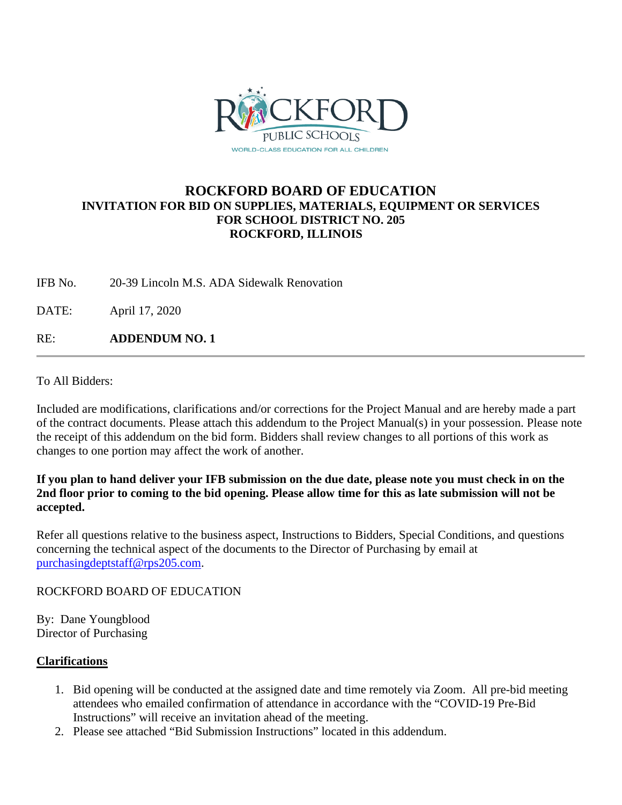

## **ROCKFORD BOARD OF EDUCATION INVITATION FOR BID ON SUPPLIES, MATERIALS, EQUIPMENT OR SERVICES FOR SCHOOL DISTRICT NO. 205 ROCKFORD, ILLINOIS**

IFB No. 20-39 Lincoln M.S. ADA Sidewalk Renovation

DATE: April 17, 2020

RE: **ADDENDUM NO. 1**

To All Bidders:

Included are modifications, clarifications and/or corrections for the Project Manual and are hereby made a part of the contract documents. Please attach this addendum to the Project Manual(s) in your possession. Please note the receipt of this addendum on the bid form. Bidders shall review changes to all portions of this work as changes to one portion may affect the work of another.

## **If you plan to hand deliver your IFB submission on the due date, please note you must check in on the 2nd floor prior to coming to the bid opening. Please allow time for this as late submission will not be accepted.**

Refer all questions relative to the business aspect, Instructions to Bidders, Special Conditions, and questions concerning the technical aspect of the documents to the Director of Purchasing by email at [purchasingdeptstaff@rps205.com.](mailto:purchasingdeptstaff@rps205.com)

## ROCKFORD BOARD OF EDUCATION

By: Dane Youngblood Director of Purchasing

## **Clarifications**

- 1. Bid opening will be conducted at the assigned date and time remotely via Zoom. All pre-bid meeting attendees who emailed confirmation of attendance in accordance with the "COVID-19 Pre-Bid Instructions" will receive an invitation ahead of the meeting.
- 2. Please see attached "Bid Submission Instructions" located in this addendum.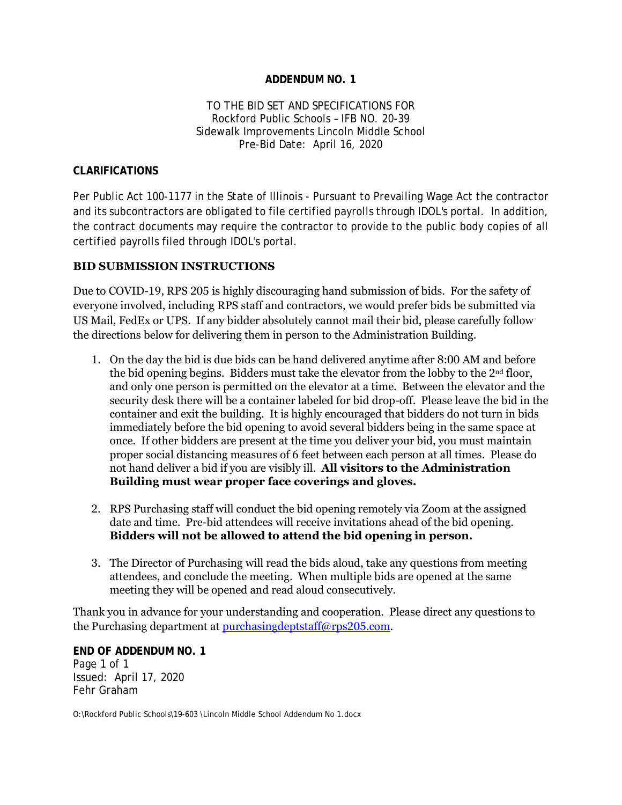### **ADDENDUM NO. 1**

#### TO THE BID SET AND SPECIFICATIONS FOR Rockford Public Schools – IFB NO. 20-39 Sidewalk Improvements Lincoln Middle School Pre-Bid Date: April 16, 2020

#### **CLARIFICATIONS**

Per Public Act 100-1177 in the State of Illinois - Pursuant to Prevailing Wage Act the contractor and its subcontractors are obligated to file certified payrolls through IDOL's portal. In addition, the contract documents may require the contractor to provide to the public body copies of all certified payrolls filed through IDOL's portal.

#### **BID SUBMISSION INSTRUCTIONS**

Due to COVID-19, RPS 205 is highly discouraging hand submission of bids. For the safety of everyone involved, including RPS staff and contractors, we would prefer bids be submitted via US Mail, FedEx or UPS. If any bidder absolutely cannot mail their bid, please carefully follow the directions below for delivering them in person to the Administration Building.

- 1. On the day the bid is due bids can be hand delivered anytime after 8:00 AM and before the bid opening begins. Bidders must take the elevator from the lobby to the 2nd floor, and only one person is permitted on the elevator at a time. Between the elevator and the security desk there will be a container labeled for bid drop-off. Please leave the bid in the container and exit the building. It is highly encouraged that bidders do not turn in bids immediately before the bid opening to avoid several bidders being in the same space at once. If other bidders are present at the time you deliver your bid, you must maintain proper social distancing measures of 6 feet between each person at all times. Please do not hand deliver a bid if you are visibly ill. **All visitors to the Administration Building must wear proper face coverings and gloves.**
- 2. RPS Purchasing staff will conduct the bid opening remotely via Zoom at the assigned date and time. Pre-bid attendees will receive invitations ahead of the bid opening. **Bidders will not be allowed to attend the bid opening in person.**
- 3. The Director of Purchasing will read the bids aloud, take any questions from meeting attendees, and conclude the meeting. When multiple bids are opened at the same meeting they will be opened and read aloud consecutively.

Thank you in advance for your understanding and cooperation. Please direct any questions to the Purchasing department at [purchasingdeptstaff@rps205.com.](mailto:purchasingdeptstaff@rps205.com)

**END OF ADDENDUM NO. 1** Page 1 of 1 Issued: April 17, 2020 Fehr Graham

O:\Rockford Public Schools\19-603 \Lincoln Middle School Addendum No 1.docx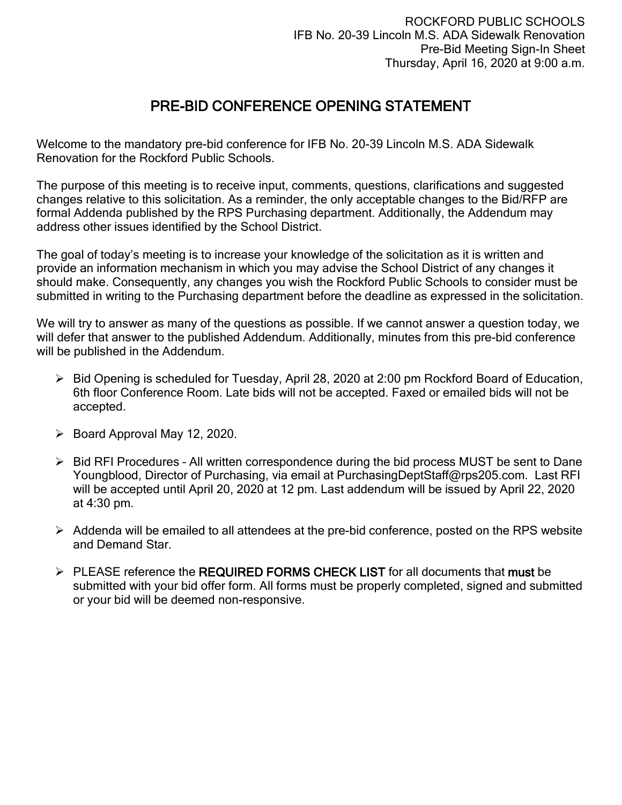# PRE-BID CONFERENCE OPENING STATEMENT

Welcome to the mandatory pre-bid conference for IFB No. 20-39 Lincoln M.S. ADA Sidewalk Renovation for the Rockford Public Schools.

The purpose of this meeting is to receive input, comments, questions, clarifications and suggested changes relative to this solicitation. As a reminder, the only acceptable changes to the Bid/RFP are formal Addenda published by the RPS Purchasing department. Additionally, the Addendum may address other issues identified by the School District.

The goal of today's meeting is to increase your knowledge of the solicitation as it is written and provide an information mechanism in which you may advise the School District of any changes it should make. Consequently, any changes you wish the Rockford Public Schools to consider must be submitted in writing to the Purchasing department before the deadline as expressed in the solicitation.

We will try to answer as many of the questions as possible. If we cannot answer a question today, we will defer that answer to the published Addendum. Additionally, minutes from this pre-bid conference will be published in the Addendum.

- Bid Opening is scheduled for Tuesday, April 28, 2020 at 2:00 pm Rockford Board of Education, 6th floor Conference Room. Late bids will not be accepted. Faxed or emailed bids will not be accepted.
- $\triangleright$  Board Approval May 12, 2020.
- $\triangleright$  Bid RFI Procedures All written correspondence during the bid process MUST be sent to Dane Youngblood, Director of Purchasing, via email at PurchasingDeptStaff@rps205.com. Last RFI will be accepted until April 20, 2020 at 12 pm. Last addendum will be issued by April 22, 2020 at 4:30 pm.
- $\triangleright$  Addenda will be emailed to all attendees at the pre-bid conference, posted on the RPS website and Demand Star.
- $\triangleright$  PLEASE reference the REQUIRED FORMS CHECK LIST for all documents that must be submitted with your bid offer form. All forms must be properly completed, signed and submitted or your bid will be deemed non-responsive.